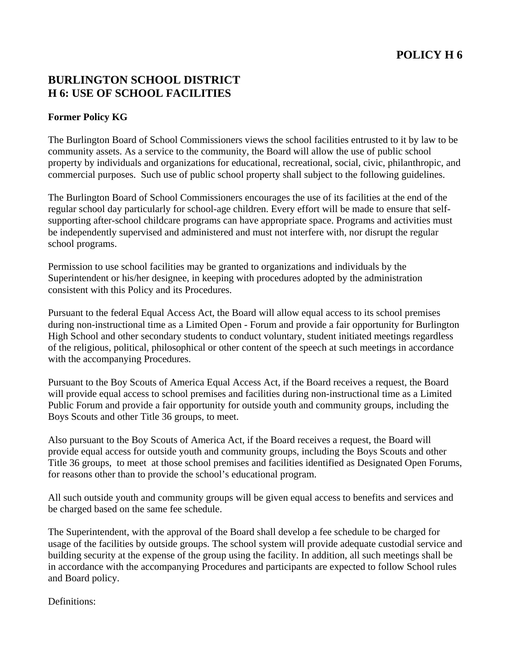# **POLICY H 6**

## **BURLINGTON SCHOOL DISTRICT H 6: USE OF SCHOOL FACILITIES**

### **Former Policy KG**

The Burlington Board of School Commissioners views the school facilities entrusted to it by law to be community assets. As a service to the community, the Board will allow the use of public school property by individuals and organizations for educational, recreational, social, civic, philanthropic, and commercial purposes. Such use of public school property shall subject to the following guidelines.

The Burlington Board of School Commissioners encourages the use of its facilities at the end of the regular school day particularly for school-age children. Every effort will be made to ensure that selfsupporting after-school childcare programs can have appropriate space. Programs and activities must be independently supervised and administered and must not interfere with, nor disrupt the regular school programs.

Permission to use school facilities may be granted to organizations and individuals by the Superintendent or his/her designee, in keeping with procedures adopted by the administration consistent with this Policy and its Procedures.

Pursuant to the federal Equal Access Act, the Board will allow equal access to its school premises during non-instructional time as a Limited Open - Forum and provide a fair opportunity for Burlington High School and other secondary students to conduct voluntary, student initiated meetings regardless of the religious, political, philosophical or other content of the speech at such meetings in accordance with the accompanying Procedures.

Pursuant to the Boy Scouts of America Equal Access Act, if the Board receives a request, the Board will provide equal access to school premises and facilities during non-instructional time as a Limited Public Forum and provide a fair opportunity for outside youth and community groups, including the Boys Scouts and other Title 36 groups, to meet.

Also pursuant to the Boy Scouts of America Act, if the Board receives a request, the Board will provide equal access for outside youth and community groups, including the Boys Scouts and other Title 36 groups, to meet at those school premises and facilities identified as Designated Open Forums, for reasons other than to provide the school's educational program.

All such outside youth and community groups will be given equal access to benefits and services and be charged based on the same fee schedule.

The Superintendent, with the approval of the Board shall develop a fee schedule to be charged for usage of the facilities by outside groups. The school system will provide adequate custodial service and building security at the expense of the group using the facility. In addition, all such meetings shall be in accordance with the accompanying Procedures and participants are expected to follow School rules and Board policy.

Definitions: